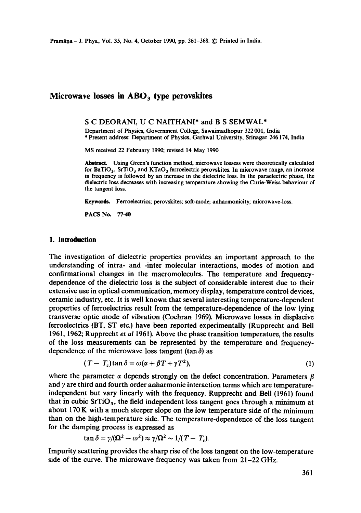# **Microwave losses in ABO 3 type perovskites**

### S C DEORANI, U C NAITHANI\* and B S SEMWAL\*

Department of Physics, Government College, Sawaimadhopur 322 001, India \* Present address: Department of Physics, Garhwal University, Srinagar 246174, India

MS received 22 February 1990, revised 14 May 1990

Abstract. Using Green's function method, microwave lossess were theoretically calculated for BaTiO<sub>3</sub>, SrTiO<sub>3</sub> and KTaO<sub>3</sub> ferroelectric perovskites. In microwave range, an increase in frequency is followed by an increase in the dielectric loss. In the paraelectric phase, the dielectric loss decreases with increasing temperature showing the Curie-Weiss behaviour of the tangent loss.

Keywords. Ferroelectrics: perovskites; soft-mode; anharmonicity, microwave-loss.

PACS No. 77-40

## **1. Introduction**

The investigation of dielectric properties provides an important approach to the understanding of intra- and -inter molecular interactions, modes of motion and confirmational changes in the macromolecules. The temperature and frequencydependence of the dielectric loss is the subject of considerable interest due to their extensive use in optical communication, memory display, temperature control devices, ceramic industry, etc. It is well known that several interesting temperature-dependent properties of ferroelectrics result from the temperature-dependence of the low lying transverse optic mode of vibration (Cochran 1969). Microwave losses in displacive ferroelectrics (BT, ST etc.) have been reported experimentally (Rupprecht and Bell 1961, 1962; Rupprecht *et al* 1961). Above the phase transition temperature, the results of the loss measurements can be represented by the temperature and frequencydependence of the microwave loss tangent (tan  $\delta$ ) as

$$
(T - T_c)\tan\delta = \omega(\alpha + \beta T + \gamma T^2),\tag{1}
$$

where the parameter  $\alpha$  depends strongly on the defect concentration. Parameters  $\beta$ and  $\gamma$  are third and fourth order anharmonic interaction terms which are temperatureindependent but vary linearly with the frequency. Rupprecht and Bell (1961) found that in cubic  $SrTiO<sub>3</sub>$ , the field independent loss tangent goes through a minimum at about 170 K with a much steeper slope on the low temperature side of the minimum than on the high-temperature side. The temperature-dependence of the loss tangent for the damping process is expressed as

$$
\tan \delta = \gamma/(\Omega^2 - \omega^2) \approx \gamma/\Omega^2 \sim 1/(T - T_c).
$$

Impurity scattering provides the sharp rise of the loss tangent on the low-temperature side of the curve. The microwave frequency was taken from  $21-22 \text{ GHz}$ .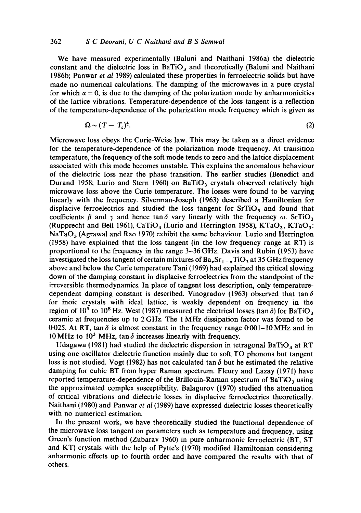### 362 *S C Deorani, U C Naithani and B S Semwal*

We have measured experimentally (Baluni and Naithani 1986a) the dielectric constant and the dielectric loss in BaTiO<sub>3</sub> and theoretically (Baluni and Naithani 1986b; Panwar *et al* 1989) calculated these properties in ferroelectric solids but have made no numerical calculations. The damping of the microwaves in a pure crystal for which  $\alpha = 0$ , is due to the damping of the polarization mode by anharmonicities of the lattice vibrations. Temperature-dependence of the loss tangent is a reflection of the temperature-dependence of the polarization mode frequency which is given as

$$
\Omega \sim (T - T_c)^{\frac{1}{2}}.\tag{2}
$$

Microwave loss obeys the Curie-Weiss law. This may be taken as a direct evidence for the temperature-dependence of the polarization mode frequency. At transition temperature, the frequency of the soft mode tends to zero and the lattice displacement associated with this mode becomes unstable. This explains the anomalous behaviour of the dielectric loss near the phase transition. The earlier studies (Benedict and Durand 1958; Lurio and Stern 1960) on BaTiO<sub>3</sub> crystals observed relatively high microwave loss above the Curie temperature. The losses were found to be varying linearly with the frequency. Silverman-Joseph (1963) described a Hamiltonian for displacive ferroelectrics and studied the loss tangent for  $SrTiO<sub>3</sub>$  and found that coefficients  $\beta$  and  $\gamma$  and hence tan  $\delta$  vary linearly with the frequency  $\omega$ . SrTiO<sub>3</sub> (Rupprecht and Bell 1961), CaTiO<sub>3</sub> (Lurio and Herrington 1958), KTaO<sub>3</sub>, KTaO<sub>3</sub>:  $NaTaO<sub>3</sub>$  (Agrawal and Rao 1970) exhibit the same behaviour. Lurio and Herrington (1958) have explained that the loss tangent (in the low frequency range at RT) is proportional to the frequency in the range 3-36 GHz. Davis and Rubin (1953) have investigated the loss tangent of certain mixtures of  $Ba_xSr_{1-x}TiO_3$  at 35 GHz frequency above and below the Curie temperature Tani (1969) had explained the critical slowing down of the damping constant in displacive ferroelectrics from the standpoint of the irreversible thermodynamics. In place of tangent loss description, only temperaturedependent damping constant is described. Vinogradov (1963) observed that tan $\delta$ for inoic crystals with ideal lattice, is weakly dependent on frequency in the region of 10<sup>5</sup> to 10<sup>8</sup> Hz. West (1987) measured the electrical losses (tan  $\delta$ ) for BaTiO<sub>3</sub> ceramic at frequencies up to 2 GHz. The 1 MHz dissipation factor was found to be 0.025. At RT, tan  $\delta$  is almost constant in the frequency range 0.001-10 MHz and in 10 MHz to 10<sup>3</sup> MHz, tan  $\delta$  increases linearly with frequency.

Udagawa (1981) had studied the dielectric dispersion in tetragonal BaTiO<sub>3</sub> at RT using one oscillator dielectric fiunction mainly due to soft TO phonons but tangent loss is not studied. Vogt (1982) has not calculated tan  $\delta$  but he estimated the relative damping for cubic BT from hyper Raman spectrum. Fleury and Lazay (1971) have reported temperature-dependence of the Brillouin-Raman spectrum of BaTiO<sub>3</sub> using the approximated complex susceptibility. Balagurov (1970) studied the attenuation of critical vibrations and dielectric losses in displacive ferroelectrics theoretically. Naithani (1980) and Panwar *et al* (1989) have expressed dielectric losses theoretically with no numerical estimation.

In the present work, we have theoretically studied the functional dependence of the microwave loss tangent on parameters such as temperature and frequency, using Green's function method (Zubarav 1960) in pure anharmonic ferroelectric (BT, ST and KT) crystals with the help of Pytte's (1970) modified Hamiltonian considering anharmonic effects up to fourth order and have compared the results with that of others.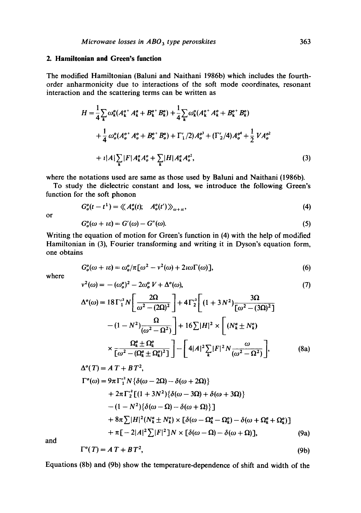# **2. Hamiltonian and Green's function**

The modified Hamiltonian (Baluni and Naithani 1986b) which includes the fourthorder anharmonicity due to interactions of the soft mode coordinates, resonant interaction and the scattering terms can be written as

$$
H = \frac{1}{4} \sum_{k} \omega_{k}^{a} (A_{k}^{a^{+}} A_{k}^{a} + B_{k}^{a^{+}} B_{k}^{a}) + \frac{1}{4} \sum_{k} \omega_{k}^{o} (A_{k}^{o^{+}} A_{k}^{o} + B_{k}^{o^{+}} B_{k}^{o})
$$
  
+ 
$$
\frac{1}{4} \omega_{o}^{o} (A_{o}^{o^{+}} A_{o}^{o} + B_{o}^{o^{+}} B_{o}^{o}) + \Gamma_{1}'/2) A_{o}^{o^{3}} + (\Gamma_{2}'/4) A_{o}^{o^{4}} + \frac{1}{2} V A_{o}^{o^{2}}
$$
  
+ 
$$
\iota |A| \sum_{k} |F| A_{k}^{a} A_{o}^{o} + \sum_{k} |H| A_{k}^{a} A_{o}^{o^{2}},
$$
(3)

where the notations used are same as those used by Baluni and Naithani (1986b).

To study the dielectric constant and loss, we introduce the following Green's function for the soft phonon

$$
G_o^o(t-t^1) = \langle \langle A_o^o(t), A_o^o(t') \rangle \rangle_{\omega+u}, \qquad (4)
$$

or

$$
G_o^o(\omega + i\varepsilon) = G'(\omega) - G''(\omega). \tag{5}
$$

Writing the equation of motion for Green's function in (4) with the help of modified Hamiltonian in (3), Fourier transforming and writing it in Dyson's equation form, one obtains

$$
G_o^o(\omega + i\varepsilon) = \omega_o^o/\pi [\omega^2 - v^2(\omega) + 2i\omega \Gamma(\omega)], \qquad (6)
$$

where

$$
v^{2}(\omega) = -(\omega_{o}^{o})^{2} - 2\omega_{o}^{o} V + \Delta^{o}(\omega),
$$
\n(7)  
\n
$$
\Delta^{o}(\omega) = 18\Gamma_{1}^{'2} N \left[ \frac{2\Omega}{\omega^{2} - (2\Omega)^{2}} \right] + 4\Gamma_{2}^{'2} \left[ (1 + 3N^{2}) \frac{3\Omega}{\left[ \omega^{2} - (3\Omega)^{2} \right]} - (1 - N^{2}) \frac{\Omega}{(\omega^{2} - \Omega^{2})} \right] + 16 \sum |H|^{2} \times \left[ (N_{k}^{a} \pm N_{k}^{o}) \right]
$$
\n(7)  
\n
$$
\Omega_{e}^{a} + \Omega_{e}^{o} \qquad \qquad \frac{\Omega}{\left[ \omega - \omega_{e} \right]} \qquad \qquad \frac{\omega}{\left[ \omega - \omega_{e} \right]} \qquad \frac{\omega}{\left[ \omega - \omega_{e} \right]} \qquad \frac{\omega}{\left[ \omega - \omega_{e} \right]} \qquad \frac{\omega}{\left[ \omega - \omega_{e} \right]} \qquad \frac{\omega}{\left[ \omega - \omega_{e} \right]} \qquad \frac{\omega}{\left[ \omega - \omega_{e} \right]} \qquad \frac{\omega}{\left[ \omega - \omega_{e} \right]} \qquad \frac{\omega}{\left[ \omega - \omega_{e} \right]} \qquad \frac{\omega}{\left[ \omega - \omega_{e} \right]} \qquad \frac{\omega}{\left[ \omega - \omega_{e} \right]} \qquad \frac{\omega}{\left[ \omega - \omega_{e} \right]} \qquad \frac{\omega}{\left[ \omega - \omega_{e} \right]} \qquad \frac{\omega}{\left[ \omega - \omega_{e} \right]} \qquad \frac{\omega}{\left[ \omega - \omega_{e} \right]} \qquad \frac{\omega}{\left[ \omega - \omega_{e} \right]} \qquad \frac{\omega}{\left[ \omega - \omega_{e} \right]} \qquad \frac{\omega}{\left[ \omega - \omega_{e} \right]} \qquad \frac{\omega}{\left[ \omega - \omega_{e} \right]} \qquad \frac{\omega}{\left[ \omega - \omega_{e} \right]} \qquad \frac{\omega}{\left[ \omega - \omega_{e} \right]} \qquad \frac{\omega}{\left[ \omega - \omega_{e} \right]} \qquad \frac{\omega}{\left[ \omega - \omega_{
$$

$$
\times \frac{\Omega_k^a \pm \Omega_k^o}{\left[\omega^2 - (\Omega_k^a \pm \Omega_k^o)^2\right]} \left[ -\left[ 4|A|^2 \sum_k |F|^2 N \frac{\omega}{(\omega^2 - \Omega^2)} \right],\right] \tag{8a}
$$

$$
\Delta^o(T) = A T + B T^2,
$$
  
\n
$$
\Gamma^o(\omega) = 9\pi \Gamma_1^2 N \{ \delta(\omega - 2\Omega) - \delta(\omega + 2\Omega) \}
$$
  
\n
$$
+ 2\pi \Gamma_2^2 [(1 + 3N^2) \{ \delta(\omega - 3\Omega) + \delta(\omega + 3\Omega) \}
$$
  
\n
$$
- (1 - N^2) \{ \delta(\omega - \Omega) - \delta(\omega + \Omega) \} ]
$$
  
\n
$$
+ 8\pi \sum |H|^2 (N_k^a \pm N_k^o) \times [\delta(\omega - \Omega_k^a - \Omega_k^o) - \delta(\omega + \Omega_k^a + \Omega_k^o) ]
$$
  
\n
$$
+ \pi [-2|A|^2 \sum |F|^2] N \times [\delta(\omega - \Omega) - \delta(\omega + \Omega)], \qquad (9a)
$$

and

$$
\Gamma^o(T) = A T + B T^2, \tag{9b}
$$

Equations (8b) and (9b) show the temperature-dependence of shift and width of the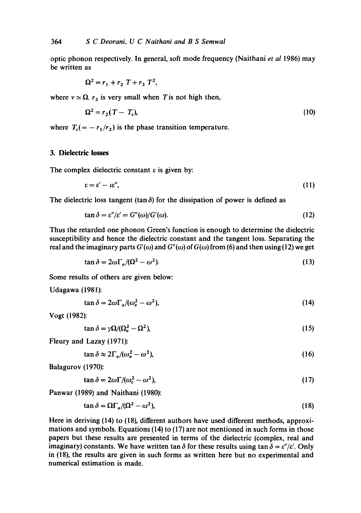optic phonon respectively. In general, soft mode frequency (Naithani *et al* 1986) may be written as

$$
\Omega^2 = r_1 + r_2 T + r_3 T^2,
$$

where  $v \approx \Omega$ .  $r_3$  is very small when T is not high then,

$$
\Omega^2 = r_2(T - T_c),\tag{10}
$$

where  $T_c(=-r_1/r_2)$  is the phase transition temperature.

# 3. Dielectric losses

The complex dielectric constant  $\varepsilon$  is given by:

$$
\varepsilon = \varepsilon' - \iota \varepsilon'',\tag{11}
$$

The dielectric loss tangent (tan  $\delta$ ) for the dissipation of power is defined as

$$
\tan \delta = \varepsilon''/\varepsilon' = G''(\omega)/G'(\omega). \tag{12}
$$

Thus the retarded one phonon Green's function is enough to determine the dielectric susceptibility and hence the dielectric constant and the tangent loss. Separating the real and the imaginary parts  $G'(\omega)$  and  $G''(\omega)$  of  $G(\omega)$  from (6) and then using (12) we get

$$
\tan \delta = 2\omega \Gamma_o / (\Omega^2 - \omega^2). \tag{13}
$$

Some results of others are given below:

Udagawa (1981):

$$
\tan \delta = 2\omega \Gamma_o / (\omega_o^2 - \omega^2),\tag{14}
$$

Vogt (1982):

$$
\tan \delta = \gamma \Omega / (\Omega_o^2 - \Omega^2),\tag{15}
$$

Fleury and Lazay (1971):

 $\tan \delta \approx 2\Gamma_o/(\omega_o^2 - \omega^2),$  (16)

Balagurov (1970):

 $\tan \delta = 2\omega \Gamma / (\omega_c^2 - \omega^2),$  (17)

Panwar (1989) and Naithani (1980):

$$
\tan \delta = \Omega \Gamma_o / (\Omega^2 - \omega^2),\tag{18}
$$

Here in deriving (14) to (18), different authors have used different methods, approximations and symbols. Equations (14) to (17) are not mentioned in such forms in those papers but these results are presented in terms of the dielectric (complex, real and imaginary) constants. We have written tan  $\delta$  for these results using tan  $\delta = \varepsilon''/\varepsilon'$ . Only in (18), the results are given in such forms as written here but no experimental and numerical estimation is made.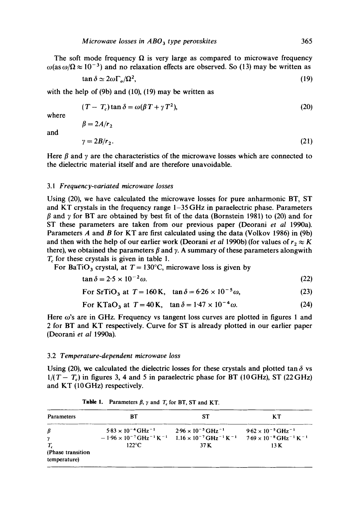The soft mode frequency  $\Omega$  is very large as compared to microwave frequency  $\omega$ (as  $\omega/\Omega \approx 10^{-3}$ ) and no relaxation effects are observed. So (13) may be written as

$$
\tan \delta \simeq 2\omega \Gamma_o/\Omega^2,\tag{19}
$$

with the help of (9b) and (10), (19) may be written as

$$
(T - T_c) \tan \delta = \omega(\beta T + \gamma T^2),
$$
\n
$$
\beta = 2A/r,
$$
\n(20)

and

where

$$
\gamma = 2B/r_2. \tag{21}
$$

Here  $\beta$  and  $\gamma$  are the characteristics of the microwave losses which are connected to the dielectric material itself and are therefore unavoidable.

#### 3.1 *Frequency-variated microwave losses*

Using (20), we have calculated the microwave losses for pure anharmonic BT, ST and KT crystals in the frequency range 1-35 GHz in paraelectric phase. Parameters  $\beta$  and  $\gamma$  for BT are obtained by best fit of the data (Bornstein 1981) to (20) and for ST these parameters are taken from our previous paper (Deorani *et al* 1990a). Parameters A and B for KT are first calculated using the data (Volkov 1986) in (9b) and then with the help of our earlier work (Deorani *et al* 1990b) (for values of  $r_2 \approx K$ there), we obtained the parameters  $\beta$  and  $\gamma$ . A summary of these parameters alongwith  $T_c$  for these crystals is given in table 1.

For BaTiO<sub>3</sub> crystal, at  $T = 130^{\circ}$ C, microwave loss is given by

$$
\tan \delta = 2.5 \times 10^{-2} \omega. \tag{22}
$$

For SrTiO<sub>3</sub> at  $T = 160 \text{ K}$ ,  $\tan \delta = 6.26 \times 10^{-5} \omega$ , (23)

For KTaO<sub>3</sub> at 
$$
T = 40
$$
 K,  $\tan \delta = 1.47 \times 10^{-4} \omega$ . (24)

Here  $\omega$ 's are in GHz. Frequency vs tangent loss curves are plotted in figures 1 and 2 for BT and KT respectively. Curve for ST is already plotted in our earlier paper (Deorani *et al* 1990a).

#### 3.2 *Temperature-dependent microwave loss*

Using (20), we calculated the dielectric losses for these crystals and plotted tan  $\delta$  vs  $1/(T - T_c)$  in figures 3, 4 and 5 in paraelectric phase for BT (10GHz), ST (22GHz) and KT (10GHz) respectively.

| <b>Parameters</b>                        | ВT                                                                                                 | SТ                                                                                                 | ĸт                                                                                                 |
|------------------------------------------|----------------------------------------------------------------------------------------------------|----------------------------------------------------------------------------------------------------|----------------------------------------------------------------------------------------------------|
| β<br>γ                                   | $5.83 \times 10^{-4} \text{ GHz}^{-1}$<br>$-1.96 \times 10^{-7}$ GHz <sup>-1</sup> K <sup>-1</sup> | $2.96 \times 10^{-5}$ GHz <sup>-1</sup><br>$1.16 \times 10^{-7}$ GHz <sup>-1</sup> K <sup>-1</sup> | $9.62 \times 10^{-5}$ GHz <sup>-1</sup><br>$7.69 \times 10^{-8}$ GHz <sup>-1</sup> K <sup>-1</sup> |
| T.<br>(Phase transition)<br>temperature) | $122^{\circ}$ C                                                                                    | 37 K                                                                                               | 13 K                                                                                               |

**Table 1.** Parameters  $\beta$ ,  $\gamma$  and  $T_c$  for BT, ST and KT.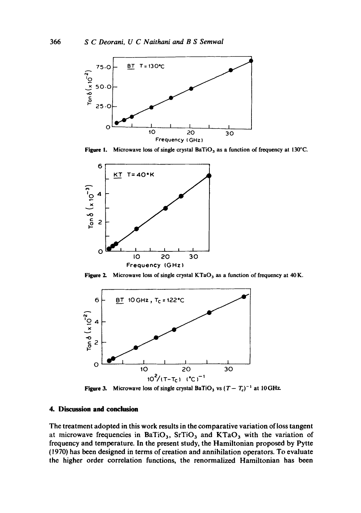

**Figure 1.** Microwave loss of single crystal BaTiO<sub>3</sub> as a function of frequency at 130°C.



Figure 2. Microwave loss of single crystal KTaO<sub>3</sub> as a function of frequency at 40 K.



**Figure 3.** Microwave loss of single crystal BaTiO<sub>3</sub> vs  $(T - T_c)^{-1}$  at 10 GHz.

# **4. Discussion and conclusion**

**The treatment adopted in this work results in the comparative variation of loss tangent**  at microwave frequencies in BaTiO<sub>3</sub>, SrTiO<sub>3</sub> and KTaO<sub>3</sub> with the variation of **frequency and temperature. In the present study, the Hamiltonian proposed by Pytte (1970) has been designed in terms of creation and annihilation operators. To evaluate the higher order correlation functions, the renormalized Hamiltonian has been**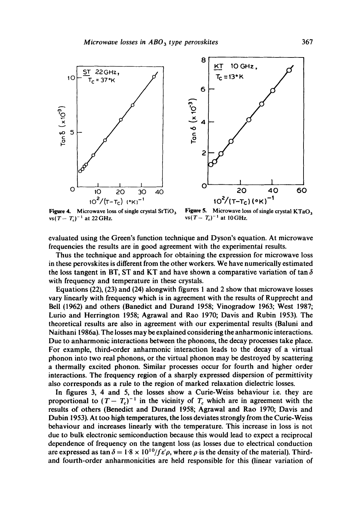



Figure 4. Microwave loss of single crystal  $SrTiO<sub>3</sub>$  $vs(T-T_c)^{-1}$  at 22 GHz.

Figure 5. Microwave loss of single crystal  $KTaO_3$ vs $(T - T_c)^{-1}$  at 10 GHz.

evaluated using the Green's function technique and Dyson's equation. At microwave frequencies the results are in good agreement with the experimental results.

Thus the technique and approach for obtaining the expression for microwave loss in these perovskites is different from the other workers. We have numerically estimated the loss tangent in BT, ST and KT and have shown a comparative variation of tan  $\delta$ with frequency and temperature in these crystals.

Equations (22), (23) and (24) alongwith figures 1 and 2 show that microwave losses vary linearly with frequency which is in agreement with the results of Rupprecht and Bell (1962) and others (Banedict and Durand 1958; Vinogradow 1963; West 1987; Lurio and Herrington 1958; Agrawal and Rao 1970; Davis and Rubin 1953). The theoretical results are also in agreement with our experimental results (Baluni and Naithani 1986a). The losses may be explained considering the anharmonic interactions. Due to anharmonic interactions between the phonons, the decay processes take place. For example, third-order anharmonic interaction leads to the decay of a virtual phonon into two real phonons, or the virtual phonon may be destroyed by scattering a thermally excited phonon. Similar processes occur for fourth and higher order interactions. The frequency region of a sharply expressed dispersion of permittivity also corresponds as a rule to the region of marked relaxation dielectric losses.

In figures 3, 4 and 5, the losses show a Curie-Weiss behaviour i.e. they are proportional to  $(T-T_c)^{-1}$  in the vicinity of  $T_c$  which are in agreement with the results of others (Benedict and Durand 1958; Agrawal and Rao 1970; Davis and Dubin 1953). At too high temperatures, the loss deviates strongly from the Curie-Weiss behaviour and increases linearly with the temperature. This increase in loss is not due to bulk electronic semiconduction because this would lead to expect a reciprocal dependence of frequency on the tangent loss (as losses due to electrical conduction are expressed as tan  $\delta = 1.8 \times 10^{10}/f \epsilon' \rho$ , where  $\rho$  is the density of the material). Thirdand fourth-order anharmonicities are held responsible for this (linear variation of